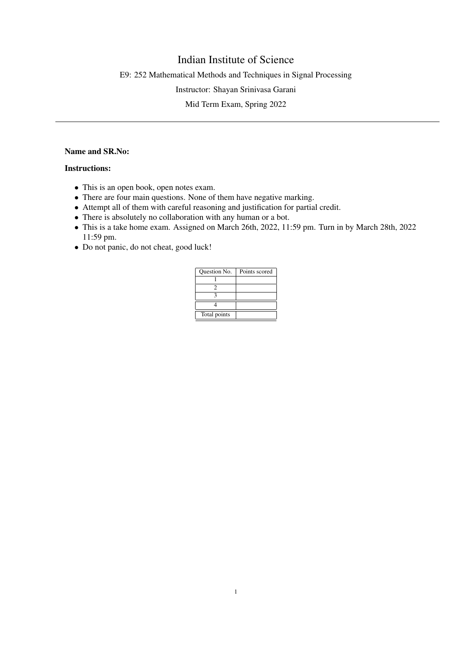## Indian Institute of Science

E9: 252 Mathematical Methods and Techniques in Signal Processing

Instructor: Shayan Srinivasa Garani

Mid Term Exam, Spring 2022

## Name and SR.No:

## Instructions:

- This is an open book, open notes exam.
- There are four main questions. None of them have negative marking.
- Attempt all of them with careful reasoning and justification for partial credit.
- There is absolutely no collaboration with any human or a bot.
- This is a take home exam. Assigned on March 26th, 2022, 11:59 pm. Turn in by March 28th, 2022 11:59 pm.
- Do not panic, do not cheat, good luck!

| Question No. | Points scored |
|--------------|---------------|
|              |               |
|              |               |
|              |               |
|              |               |
| Total points |               |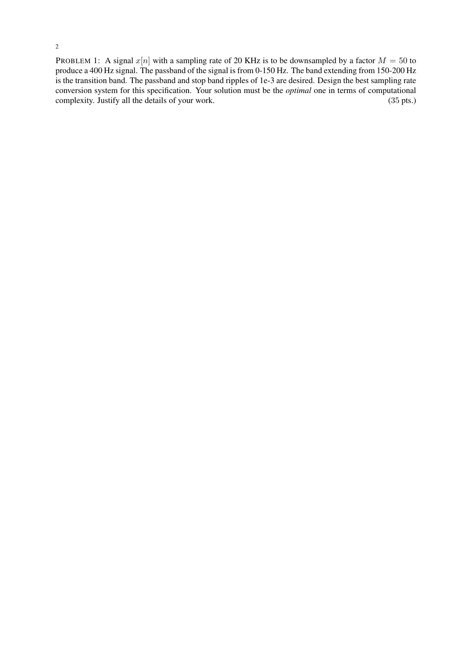2

PROBLEM 1: A signal  $x[n]$  with a sampling rate of 20 KHz is to be downsampled by a factor  $M = 50$  to produce a 400 Hz signal. The passband of the signal is from 0-150 Hz. The band extending from 150-200 Hz is the transition band. The passband and stop band ripples of 1e-3 are desired. Design the best sampling rate conversion system for this specification. Your solution must be the *optimal* one in terms of computational complexity. Justify all the details of your work. (35 pts.)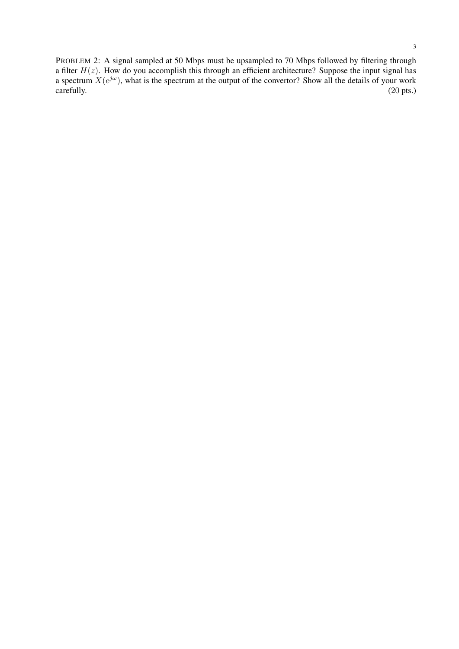PROBLEM 2: A signal sampled at 50 Mbps must be upsampled to 70 Mbps followed by filtering through a filter  $H(z)$ . How do you accomplish this through an efficient architecture? Suppose the input signal has a spectrum  $X(e^{j\omega})$ , what is the spectrum at the output of the convertor? Show all the details of your work carefully. (20 pts.)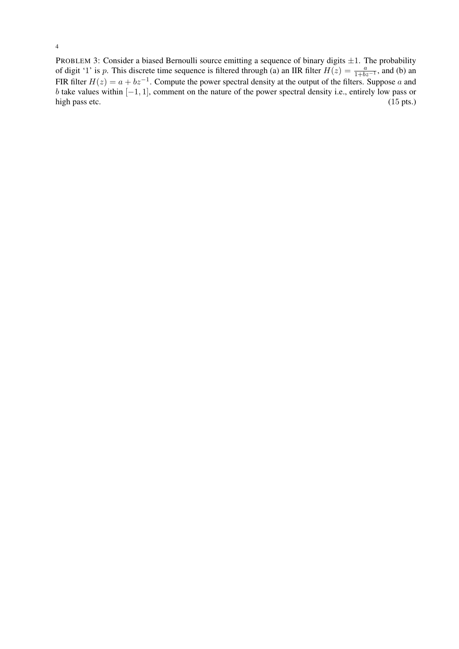PROBLEM 3: Consider a biased Bernoulli source emitting a sequence of binary digits  $\pm 1$ . The probability of digit '1' is p. This discrete time sequence is filtered through (a) an IIR filter  $H(z) = \frac{a}{1+bz^{-1}}$ , and (b) an FIR filter  $H(z) = a + bz^{-1}$ . Compute the power spectral density at the output of the filters. Suppose a and b take values within  $[-1, 1]$ , comment on the nature of the power spectral density i.e., entirely low pass or high pass etc.  $(15 \text{ pts.})$